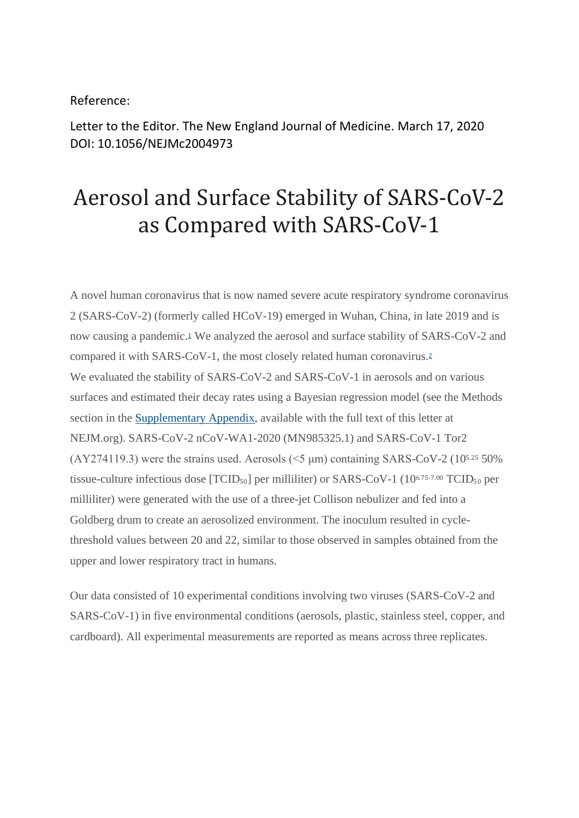## Reference:

Letter to the Editor. The New England Journal of Medicine. March 17, 2020 DOI: 10.1056/NEJMc2004973

## Aerosol and Surface Stability of SARS-CoV-2 as Compared with SARS-CoV-1

A novel human coronavirus that is now named severe acute respiratory syndrome coronavirus 2 (SARS-CoV-2) (formerly called HCoV-19) emerged in Wuhan, China, in late 2019 and is now causing a pandemic.[1](https://www.nejm.org/doi/full/10.1056/NEJMc2004973?query=featured_home) We analyzed the aerosol and surface stability of SARS-CoV-2 and compared it with SARS-CoV-1, the most closely related human coronavirus.[2](https://www.nejm.org/doi/full/10.1056/NEJMc2004973?query=featured_home) We evaluated the stability of SARS-CoV-2 and SARS-CoV-1 in aerosols and on various surfaces and estimated their decay rates using a Bayesian regression model (see the Methods section in the [Supplementary Appendix,](https://www.nejm.org/doi/suppl/10.1056/NEJMc2004973/suppl_file/nejmc2004973_appendix.pdf) available with the full text of this letter at NEJM.org). SARS-CoV-2 nCoV-WA1-2020 (MN985325.1) and SARS-CoV-1 Tor2 (AY274119.3) were the strains used. Aerosols ( $\leq$ 5 µm) containing SARS-CoV-2 (105.25 50%) tissue-culture infectious dose  $[TCID<sub>50</sub>]$  per milliliter) or SARS-CoV-1 (10<sup>6.75-7.00</sup> TCID<sub>50</sub> per milliliter) were generated with the use of a three-jet Collison nebulizer and fed into a Goldberg drum to create an aerosolized environment. The inoculum resulted in cyclethreshold values between 20 and 22, similar to those observed in samples obtained from the upper and lower respiratory tract in humans.

Our data consisted of 10 experimental conditions involving two viruses (SARS-CoV-2 and SARS-CoV-1) in five environmental conditions (aerosols, plastic, stainless steel, copper, and cardboard). All experimental measurements are reported as means across three replicates.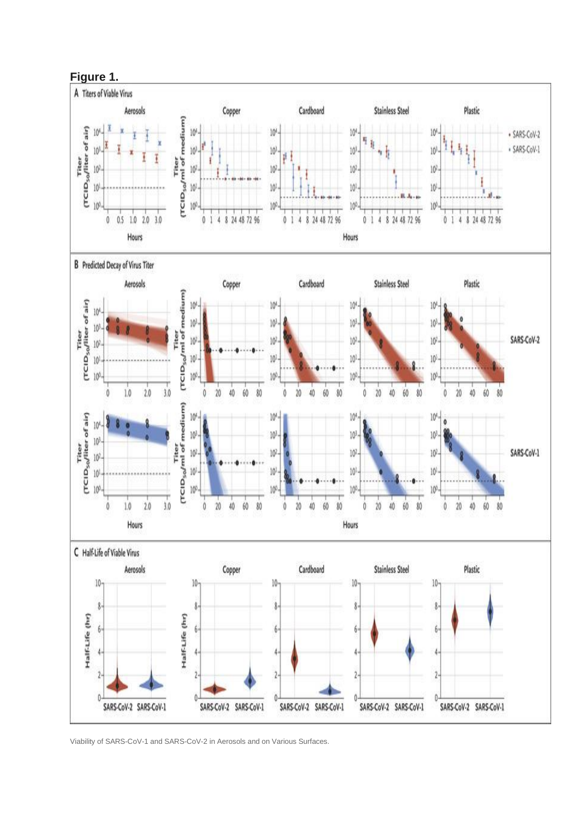

Viability of SARS-CoV-1 and SARS-CoV-2 in Aerosols and on Various Surfaces.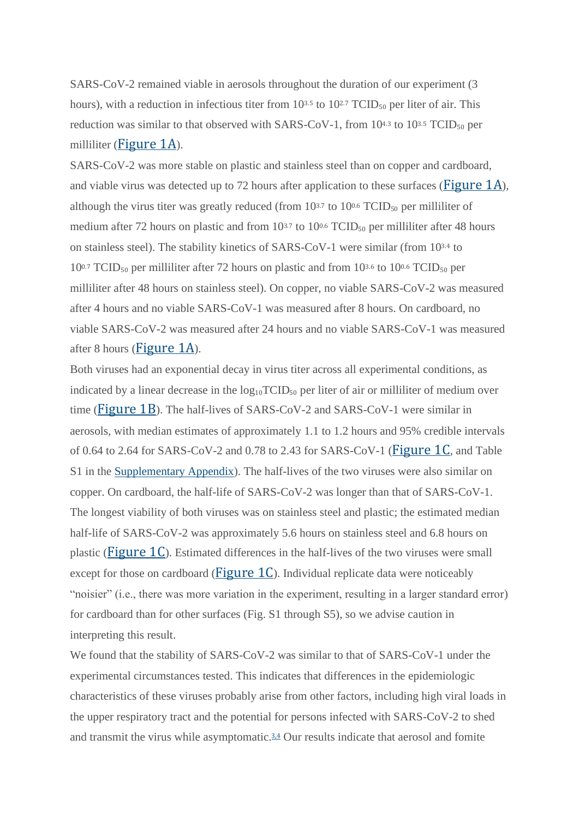SARS-CoV-2 remained viable in aerosols throughout the duration of our experiment (3 hours), with a reduction in infectious titer from  $10^{3.5}$  to  $10^{2.7}$  TCID<sub>50</sub> per liter of air. This reduction was similar to that observed with SARS-CoV-1, from  $10^{4.3}$  to  $10^{3.5}$  TCID<sub>50</sub> per milliliter ([Figure](https://www.nejm.org/doi/full/10.1056/NEJMc2004973?query=featured_home) 1A).

SARS-CoV-2 was more stable on plastic and stainless steel than on copper and cardboard, and viable virus was detected up to 72 hours after application to these surfaces ( $Figure 1A$  $Figure 1A$ ), although the virus titer was greatly reduced (from  $10^{3.7}$  to  $10^{0.6}$  TCID<sub>50</sub> per milliliter of medium after 72 hours on plastic and from  $10^{3.7}$  to  $10^{0.6}$  TCID<sub>50</sub> per milliliter after 48 hours on stainless steel). The stability kinetics of SARS-CoV-1 were similar (from 103.4 to  $10^{0.7}$  TCID<sub>50</sub> per milliliter after 72 hours on plastic and from 10<sup>3.6</sup> to 10<sup>0.6</sup> TCID<sub>50</sub> per milliliter after 48 hours on stainless steel). On copper, no viable SARS-CoV-2 was measured after 4 hours and no viable SARS-CoV-1 was measured after 8 hours. On cardboard, no viable SARS-CoV-2 was measured after 24 hours and no viable SARS-CoV-1 was measured after 8 hours ([Figure](https://www.nejm.org/doi/full/10.1056/NEJMc2004973?query=featured_home) 1A).

Both viruses had an exponential decay in virus titer across all experimental conditions, as indicated by a linear decrease in the  $log_{10}TCID_{50}$  per liter of air or milliliter of medium over time ([Figure](https://www.nejm.org/doi/full/10.1056/NEJMc2004973?query=featured_home) 1B). The half-lives of SARS-CoV-2 and SARS-CoV-1 were similar in aerosols, with median estimates of approximately 1.1 to 1.2 hours and 95% credible intervals of 0.64 to 2.64 for SARS-CoV-2 and 0.78 to 2.43 for SARS-CoV-1 ( $Figure 1C$  $Figure 1C$ , and Table S1 in the [Supplementary Appendix\)](https://www.nejm.org/doi/suppl/10.1056/NEJMc2004973/suppl_file/nejmc2004973_appendix.pdf). The half-lives of the two viruses were also similar on copper. On cardboard, the half-life of SARS-CoV-2 was longer than that of SARS-CoV-1. The longest viability of both viruses was on stainless steel and plastic; the estimated median half-life of SARS-CoV-2 was approximately 5.6 hours on stainless steel and 6.8 hours on plastic ( $Figure 1C$  $Figure 1C$ ). Estimated differences in the half-lives of the two viruses were small except for those on cardboard ( $Figure 1C$  $Figure 1C$ ). Individual replicate data were noticeably "noisier" (i.e., there was more variation in the experiment, resulting in a larger standard error) for cardboard than for other surfaces (Fig. S1 through S5), so we advise caution in interpreting this result.

We found that the stability of SARS-CoV-2 was similar to that of SARS-CoV-1 under the experimental circumstances tested. This indicates that differences in the epidemiologic characteristics of these viruses probably arise from other factors, including high viral loads in the upper respiratory tract and the potential for persons infected with SARS-CoV-2 to shed and transmit the virus while asymptomatic.<sup>[3,4](https://www.nejm.org/doi/full/10.1056/NEJMc2004973?query=featured_home)</sup> Our results indicate that aerosol and fomite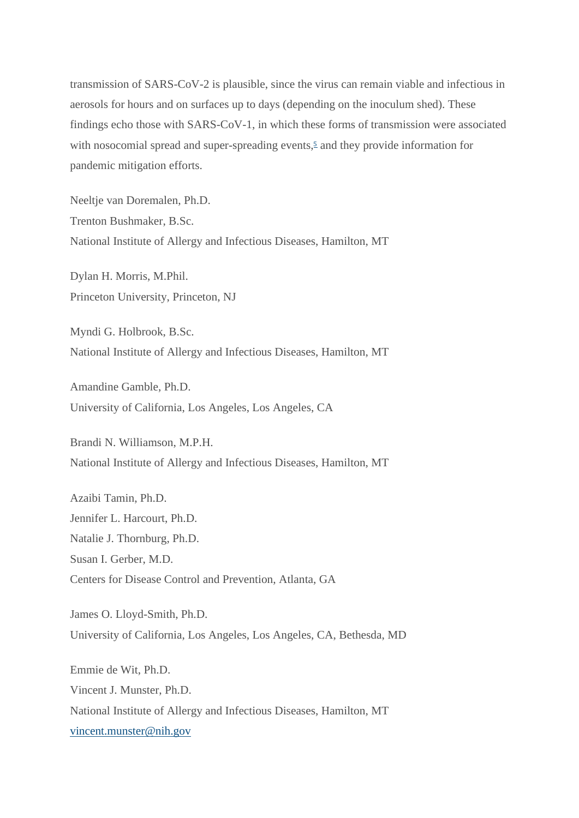transmission of SARS-CoV-2 is plausible, since the virus can remain viable and infectious in aerosols for hours and on surfaces up to days (depending on the inoculum shed). These findings echo those with SARS-CoV-1, in which these forms of transmission were associated with nosocomial spread and super-spreading events[,](https://www.nejm.org/doi/full/10.1056/NEJMc2004973?query=featured_home)<sup>5</sup> and they provide information for pandemic mitigation efforts.

Neeltje van Doremalen, Ph.D. Trenton Bushmaker, B.Sc. National Institute of Allergy and Infectious Diseases, Hamilton, MT

Dylan H. Morris, M.Phil. Princeton University, Princeton, NJ

Myndi G. Holbrook, B.Sc. National Institute of Allergy and Infectious Diseases, Hamilton, MT

Amandine Gamble, Ph.D. University of California, Los Angeles, Los Angeles, CA

Brandi N. Williamson, M.P.H. National Institute of Allergy and Infectious Diseases, Hamilton, MT

Azaibi Tamin, Ph.D. Jennifer L. Harcourt, Ph.D. Natalie J. Thornburg, Ph.D. Susan I. Gerber, M.D. Centers for Disease Control and Prevention, Atlanta, GA

James O. Lloyd-Smith, Ph.D. University of California, Los Angeles, Los Angeles, CA, Bethesda, MD

Emmie de Wit, Ph.D. Vincent J. Munster, Ph.D. National Institute of Allergy and Infectious Diseases, Hamilton, MT [vincent.munster@nih.gov](mailto:vincent.munster@nih.gov)